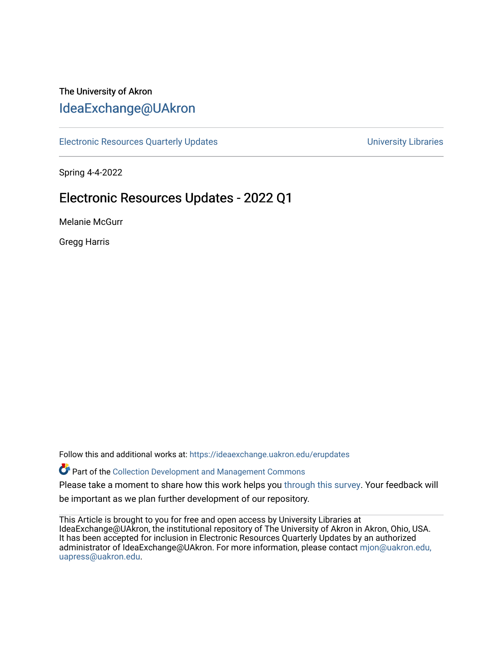# The University of Akron [IdeaExchange@UAkron](https://ideaexchange.uakron.edu/)

[Electronic Resources Quarterly Updates](https://ideaexchange.uakron.edu/erupdates) **No. 2018** 1999 12:30 November 2018 12:30 November 2018

Spring 4-4-2022

# Electronic Resources Updates - 2022 Q1

Melanie McGurr

Gregg Harris

Follow this and additional works at: [https://ideaexchange.uakron.edu/erupdates](https://ideaexchange.uakron.edu/erupdates?utm_source=ideaexchange.uakron.edu%2Ferupdates%2F14&utm_medium=PDF&utm_campaign=PDFCoverPages) 

Part of the [Collection Development and Management Commons](http://network.bepress.com/hgg/discipline/1271?utm_source=ideaexchange.uakron.edu%2Ferupdates%2F14&utm_medium=PDF&utm_campaign=PDFCoverPages) 

Please take a moment to share how this work helps you [through this survey](http://survey.az1.qualtrics.com/SE/?SID=SV_eEVH54oiCbOw05f&URL=). Your feedback will be important as we plan further development of our repository.

This Article is brought to you for free and open access by University Libraries at IdeaExchange@UAkron, the institutional repository of The University of Akron in Akron, Ohio, USA. It has been accepted for inclusion in Electronic Resources Quarterly Updates by an authorized administrator of IdeaExchange@UAkron. For more information, please contact mion@uakron.edu, [uapress@uakron.edu.](mailto:mjon@uakron.edu,%20uapress@uakron.edu)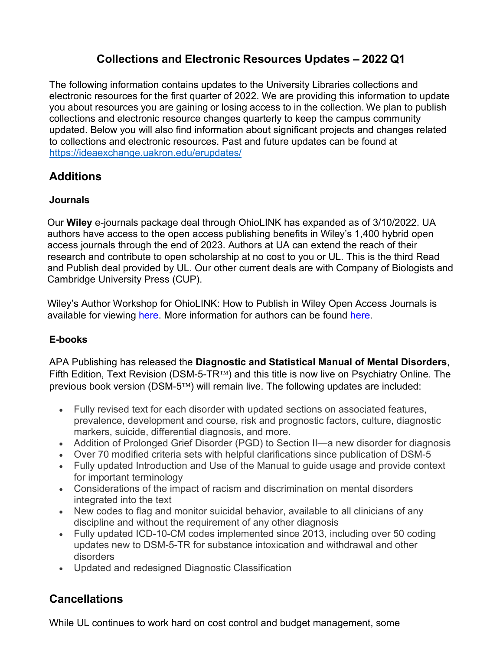# **Collections and Electronic Resources Updates – 2022 Q1**

The following information contains updates to the University Libraries collections and electronic resources for the first quarter of 2022. We are providing this information to update you about resources you are gaining or losing access to in the collection. We plan to publish collections and electronic resource changes quarterly to keep the campus community updated. Below you will also find information about significant projects and changes related to collections and electronic resources. Past and future updates can be found at https://ideaexchange.uakron.edu/erupdates/

# **Additions**

### **Journals**

Our **Wiley** e-journals package deal through OhioLINK has expanded as of 3/10/2022. UA authors have access to the open access publishing benefits in Wiley's 1,400 hybrid open access journals through the end of 2023. Authors at UA can extend the reach of their research and contribute to open scholarship at no cost to you or UL. This is the third Read and Publish deal provided by UL. Our other current deals are with Company of Biologists and Cambridge University Press (CUP).

Wiley's Author Workshop for OhioLINK: How to Publish in Wiley Open Access Journals is available for viewing here. More information for authors can be found here.

## **E-books**

APA Publishing has released the **Diagnostic and Statistical Manual of Mental Disorders**, Fifth Edition, Text Revision (DSM-5-TR<sup>TM</sup>) and this title is now live on Psychiatry Online. The previous book version (DSM-5 $\text{TM}$ ) will remain live. The following updates are included:

- Fully revised text for each disorder with updated sections on associated features, prevalence, development and course, risk and prognostic factors, culture, diagnostic markers, suicide, differential diagnosis, and more.
- Addition of Prolonged Grief Disorder (PGD) to Section II—a new disorder for diagnosis
- Over 70 modified criteria sets with helpful clarifications since publication of DSM-5
- Fully updated Introduction and Use of the Manual to guide usage and provide context for important terminology
- Considerations of the impact of racism and discrimination on mental disorders integrated into the text
- New codes to flag and monitor suicidal behavior, available to all clinicians of any discipline and without the requirement of any other diagnosis
- Fully updated ICD-10-CM codes implemented since 2013, including over 50 coding updates new to DSM-5-TR for substance intoxication and withdrawal and other disorders
- Updated and redesigned Diagnostic Classification

# **Cancellations**

While UL continues to work hard on cost control and budget management, some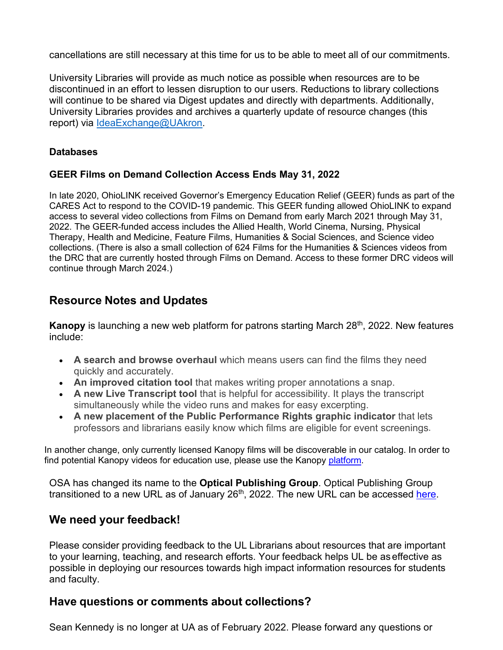cancellations are still necessary at this time for us to be able to meet all of our commitments.

University Libraries will provide as much notice as possible when resources are to be discontinued in an effort to lessen disruption to our users. Reductions to library collections will continue to be shared via Digest updates and directly with departments. Additionally, University Libraries provides and archives a quarterly update of resource changes (this report) via IdeaExchange@UAkron.

#### **Databases**

#### **GEER Films on Demand Collection Access Ends May 31, 2022**

In late 2020, OhioLINK received Governor's Emergency Education Relief (GEER) funds as part of the CARES Act to respond to the COVID-19 pandemic. This GEER funding allowed OhioLINK to expand access to several video collections from Films on Demand from early March 2021 through May 31, 2022. The GEER-funded access includes the Allied Health, World Cinema, Nursing, Physical Therapy, Health and Medicine, Feature Films, Humanities & Social Sciences, and Science video collections. (There is also a small collection of 624 Films for the Humanities & Sciences videos from the DRC that are currently hosted through Films on Demand. Access to these former DRC videos will continue through March 2024.)

## **Resource Notes and Updates**

**Kanopy** is launching a new web platform for patrons starting March 28<sup>th</sup>, 2022. New features include:

- **A search and browse overhaul** which means users can find the films they need quickly and accurately.
- **An improved citation tool** that makes writing proper annotations a snap.
- **A new Live Transcript tool** that is helpful for accessibility. It plays the transcript simultaneously while the video runs and makes for easy excerpting.
- **A new placement of the Public Performance Rights graphic indicator** that lets professors and librarians easily know which films are eligible for event screenings.

In another change, only currently licensed Kanopy films will be discoverable in our catalog. In order to find potential Kanopy videos for education use, please use the Kanopy platform.

OSA has changed its name to the **Optical Publishing Group**. Optical Publishing Group transitioned to a new URL as of January  $26<sup>th</sup>$ , 2022. The new URL can be accessed here.

## **We need your feedback!**

Please consider providing feedback to the UL Librarians about resources that are important to your learning, teaching, and research efforts. Your feedback helps UL be as effective as possible in deploying our resources towards high impact information resources for students and faculty.

## **Have questions or comments about collections?**

Sean Kennedy is no longer at UA as of February 2022. Please forward any questions or